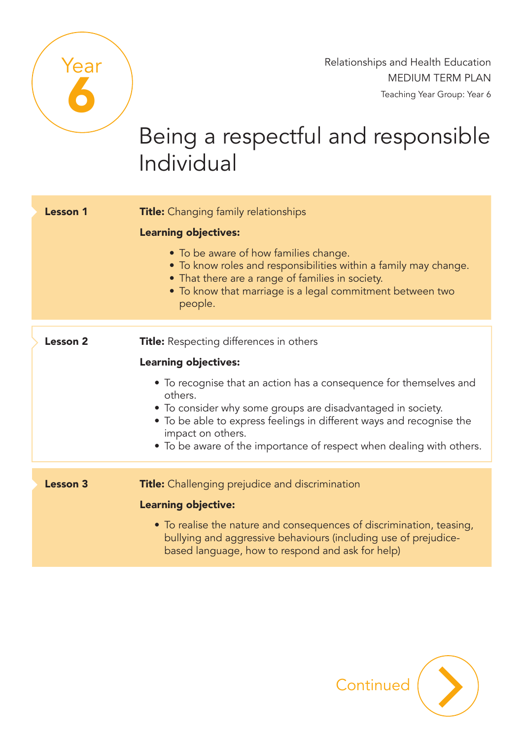

Relationships and Health Education MEDIUM TERM PLAN Teaching Year Group: Year 6

## Being a respectful and responsible Individual

| <b>Lesson 1</b> | <b>Title:</b> Changing family relationships<br><b>Learning objectives:</b><br>• To be aware of how families change.<br>• To know roles and responsibilities within a family may change.<br>• That there are a range of families in society.<br>• To know that marriage is a legal commitment between two<br>people.                                                                                |
|-----------------|----------------------------------------------------------------------------------------------------------------------------------------------------------------------------------------------------------------------------------------------------------------------------------------------------------------------------------------------------------------------------------------------------|
| <b>Lesson 2</b> | <b>Title:</b> Respecting differences in others<br><b>Learning objectives:</b><br>• To recognise that an action has a consequence for themselves and<br>others.<br>• To consider why some groups are disadvantaged in society.<br>• To be able to express feelings in different ways and recognise the<br>impact on others.<br>• To be aware of the importance of respect when dealing with others. |
| <b>Lesson 3</b> | <b>Title:</b> Challenging prejudice and discrimination<br><b>Learning objective:</b><br>• To realise the nature and consequences of discrimination, teasing,<br>bullying and aggressive behaviours (including use of prejudice-<br>based language, how to respond and ask for help)                                                                                                                |